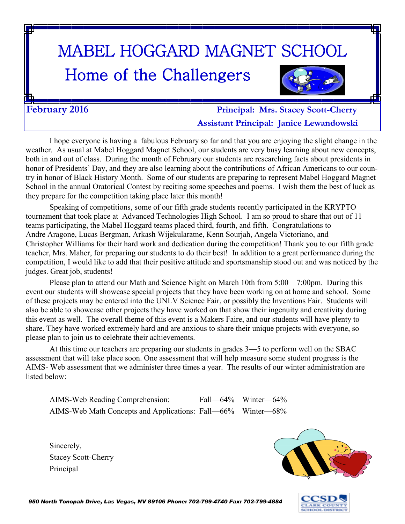# MABEL HOGGARD MAGNET SCHOOL

# Home of the Challengers



**February 2016 Principal: Mrs. Stacey Scott-Cherry Assistant Principal: Janice Lewandowski**

I hope everyone is having a fabulous February so far and that you are enjoying the slight change in the weather. As usual at Mabel Hoggard Magnet School, our students are very busy learning about new concepts, both in and out of class. During the month of February our students are researching facts about presidents in honor of Presidents' Day, and they are also learning about the contributions of African Americans to our country in honor of Black History Month. Some of our students are preparing to represent Mabel Hoggard Magnet School in the annual Oratorical Contest by reciting some speeches and poems. I wish them the best of luck as they prepare for the competition taking place later this month!

Speaking of competitions, some of our fifth grade students recently participated in the KRYPTO tournament that took place at Advanced Technologies High School. I am so proud to share that out of 11 teams participating, the Mabel Hoggard teams placed third, fourth, and fifth. Congratulations to Andre Aragone, Lucas Bergman, Arkash Wijekularatne, Kenn Sourjah, Angela Victoriano, and Christopher Williams for their hard work and dedication during the competition! Thank you to our fifth grade teacher, Mrs. Maher, for preparing our students to do their best! In addition to a great performance during the competition, I would like to add that their positive attitude and sportsmanship stood out and was noticed by the judges. Great job, students!

Please plan to attend our Math and Science Night on March 10th from 5:00—7:00pm. During this event our students will showcase special projects that they have been working on at home and school. Some of these projects may be entered into the UNLV Science Fair, or possibly the Inventions Fair. Students will also be able to showcase other projects they have worked on that show their ingenuity and creativity during this event as well. The overall theme of this event is a Makers Faire, and our students will have plenty to share. They have worked extremely hard and are anxious to share their unique projects with everyone, so please plan to join us to celebrate their achievements.

At this time our teachers are preparing our students in grades 3—5 to perform well on the SBAC assessment that will take place soon. One assessment that will help measure some student progress is the AIMS- Web assessment that we administer three times a year. The results of our winter administration are listed below:

AIMS-Web Reading Comprehension: Fall—64% Winter—64% AIMS-Web Math Concepts and Applications: Fall—66% Winter—68%

Sincerely, Stacey Scott-Cherry Principal



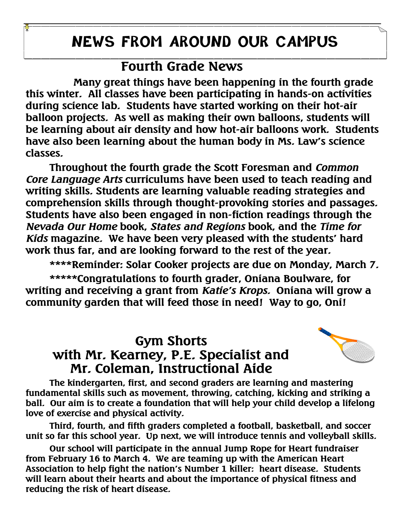## **NEWS FROM AROUND OUR CAMPUS**

#### **Fourth Grade News**

**Many great things have been happening in the fourth grade this winter. All classes have been participating in hands-on activities during science lab. Students have started working on their hot-air balloon projects. As well as making their own balloons, students will be learning about air density and how hot-air balloons work. Students have also been learning about the human body in Ms. Law's science classes.** 

**Throughout the fourth grade the Scott Foresman and** *Common Core Language Arts* **curriculums have been used to teach reading and writing skills. Students are learning valuable reading strategies and comprehension skills through thought-provoking stories and passages. Students have also been engaged in non-fiction readings through the**  *Nevada Our Home* **book,** *States and Regions* **book, and the** *Time for Kids* **magazine. We have been very pleased with the students' hard work thus far, and are looking forward to the rest of the year.** 

**\*\*\*\*Reminder: Solar Cooker projects are due on Monday, March 7.** 

**\*\*\*\*\*Congratulations to fourth grader, Oniana Boulware, for writing and receiving a grant from** *Katie's Krops.* **Oniana will grow a community garden that will feed those in need! Way to go, Oni!**

#### **Gym Shorts with Mr. Kearney, P.E. Specialist and Mr. Coleman, Instructional Aide**



**The kindergarten, first, and second graders are learning and mastering fundamental skills such as movement, throwing, catching, kicking and striking a ball. Our aim is to create a foundation that will help your child develop a lifelong love of exercise and physical activity.**

**Third, fourth, and fifth graders completed a football, basketball, and soccer unit so far this school year. Up next, we will introduce tennis and volleyball skills.**

**Our school will participate in the annual Jump Rope for Heart fundraiser from February 16 to March 4. We are teaming up with the American Heart Association to help fight the nation's Number 1 killer: heart disease. Students will learn about their hearts and about the importance of physical fitness and reducing the risk of heart disease.**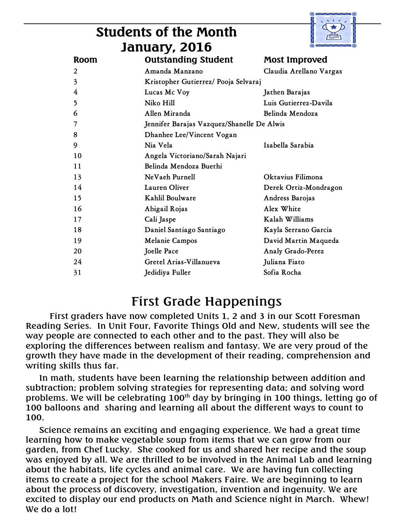| <b>Students of the Month</b> |
|------------------------------|
| January, 2016                |



| ---- , , .                                      |                                      |                         |
|-------------------------------------------------|--------------------------------------|-------------------------|
| Room                                            | <b>Outstanding Student</b>           | Most Improved           |
| 2                                               | Amanda Manzano                       | Claudia Arellano Vargas |
| 3                                               | Kristopher Gutierrez/ Pooja Selvaraj |                         |
| 4                                               | Lucas Mc Voy                         | Jathen Barajas          |
| 5                                               | Niko Hill                            | Luis Gutierrez-Davila   |
| 6                                               | Allen Miranda                        | Belinda Mendoza         |
| Jennifer Barajas Vazquez/Shanelle De Alwis<br>7 |                                      |                         |
| 8                                               | Dhanhee Lee/Vincent Vogan            |                         |
| 9                                               | Nia Vela                             | Isabella Sarabia        |
| 10                                              | Angela Victoriano/Sarah Najari       |                         |
| 11                                              | Belinda Mendoza Buethi               |                         |
| 13                                              | NeVaeh Purnell                       | Oktavius Filimona       |
| 14                                              | Lauren Oliver                        | Derek Ortiz-Mondragon   |
| 15                                              | Kahlil Boulware                      | Andress Barojas         |
| 16                                              | Abigail Rojas                        | Alex White              |
| 17                                              | Cali Jaspe                           | Kalah Williams          |
| 18                                              | Daniel Santiago Santiago             | Kayla Serrano Garcia    |
| 19                                              | Melanie Campos                       | David Martin Maqueda    |
| 20                                              | Joelle Pace                          | Analy Grado-Perez       |
| 24                                              | Gretel Arias-Villanueva              | Juliana Fiato           |
| 31                                              | Jedidiya Fuller                      | Sofia Rocha             |
|                                                 |                                      |                         |

#### First Grade Happenings

First graders have now completed Units 1, 2 and 3 in our Scott Foresman Reading Series. In Unit Four, Favorite Things Old and New, students will see the way people are connected to each other and to the past. They will also be exploring the differences between realism and fantasy. We are very proud of the growth they have made in the development of their reading, comprehension and writing skills thus far.

 In math, students have been learning the relationship between addition and subtraction; problem solving strategies for representing data; and solving word problems. We will be celebrating  $100<sup>th</sup>$  day by bringing in 100 things, letting go of 100 balloons and sharing and learning all about the different ways to count to 100.

 Science remains an exciting and engaging experience. We had a great time learning how to make vegetable soup from items that we can grow from our garden, from Chef Lucky. She cooked for us and shared her recipe and the soup was enjoyed by all. We are thrilled to be involved in the Animal Lab and learning about the habitats, life cycles and animal care. We are having fun collecting items to create a project for the school Makers Faire. We are beginning to learn about the process of discovery, investigation, invention and ingenuity. We are excited to display our end products on Math and Science night in March. Whew! We do a lot!